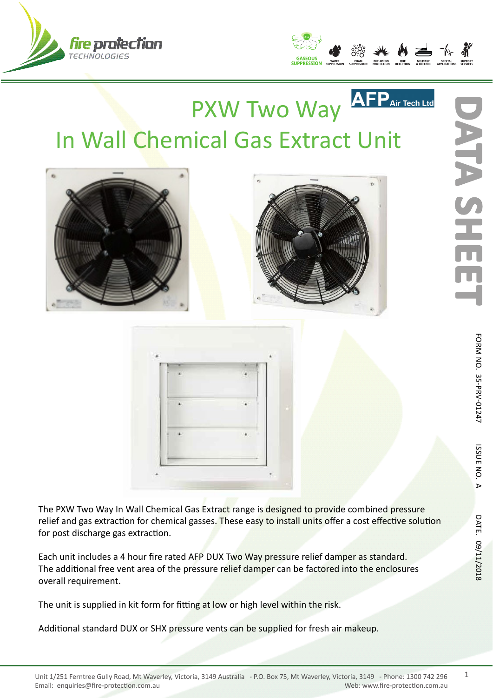



## AFP<sub>Air Tech</sub> PXW Two Way In Wall Chemical Gas Extract Unit





The PXW Two Way In Wall Chemical Gas Extract range is designed to provide combined pressure relief and gas extraction for chemical gasses. These easy to install units offer a cost effective solution for post discharge gas extraction.

Each unit includes a 4 hour fire rated AFP DUX Two Way pressure relief damper as standard. The additional free vent area of the pressure relief damper can be factored into the enclosures overall requirement.

The unit is supplied in kit form for fitting at low or high level within the risk.

Additional standard DUX or SHX pressure vents can be supplied for fresh air makeup.

**ATA SH** 

1